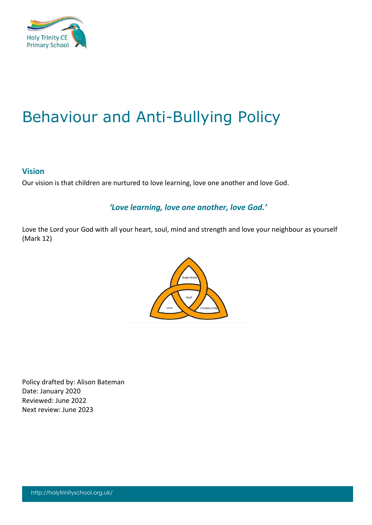

# Behaviour and Anti-Bullying Policy

#### **Vision**

Our vision is that children are nurtured to love learning, love one another and love God.

### *'Love learning, love one another, love God.'*

Love the Lord your God with all your heart, soul, mind and strength and love your neighbour as yourself (Mark 12)



Policy drafted by: Alison Bateman Date: January 2020 Reviewed: June 2022 Next review: June 2023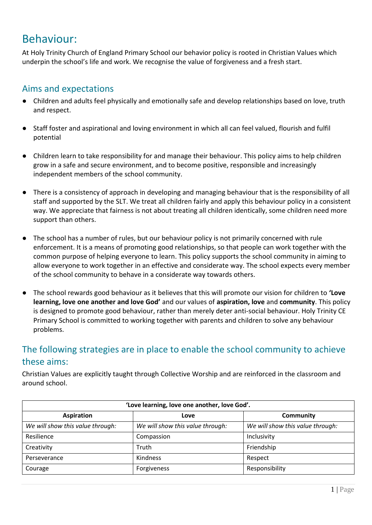## Behaviour:

At Holy Trinity Church of England Primary School our behavior policy is rooted in Christian Values which underpin the school's life and work. We recognise the value of forgiveness and a fresh start.

## Aims and expectations

- Children and adults feel physically and emotionally safe and develop relationships based on love, truth and respect.
- Staff foster and aspirational and loving environment in which all can feel valued, flourish and fulfil potential
- Children learn to take responsibility for and manage their behaviour. This policy aims to help children grow in a safe and secure environment, and to become positive, responsible and increasingly independent members of the school community.
- There is a consistency of approach in developing and managing behaviour that is the responsibility of all staff and supported by the SLT. We treat all children fairly and apply this behaviour policy in a consistent way. We appreciate that fairness is not about treating all children identically, some children need more support than others.
- The school has a number of rules, but our behaviour policy is not primarily concerned with rule enforcement. It is a means of promoting good relationships, so that people can work together with the common purpose of helping everyone to learn. This policy supports the school community in aiming to allow everyone to work together in an effective and considerate way. The school expects every member of the school community to behave in a considerate way towards others.
- The school rewards good behaviour as it believes that this will promote our vision for children to **'Love learning, love one another and love God'** and our values of **aspiration, love** and **community**. This policy is designed to promote good behaviour, rather than merely deter anti-social behaviour. Holy Trinity CE Primary School is committed to working together with parents and children to solve any behaviour problems.

## The following strategies are in place to enable the school community to achieve these aims:

Christian Values are explicitly taught through Collective Worship and are reinforced in the classroom and around school.

| 'Love learning, love one another, love God'. |                                  |                                  |  |  |
|----------------------------------------------|----------------------------------|----------------------------------|--|--|
| <b>Aspiration</b>                            | Love                             | Community                        |  |  |
| We will show this value through:             | We will show this value through: | We will show this value through: |  |  |
| Resilience                                   | Compassion                       | Inclusivity                      |  |  |
| Creativity                                   | Truth                            | Friendship                       |  |  |
| Perseverance                                 | Kindness                         | Respect                          |  |  |
| Courage                                      | Forgiveness                      | Responsibility                   |  |  |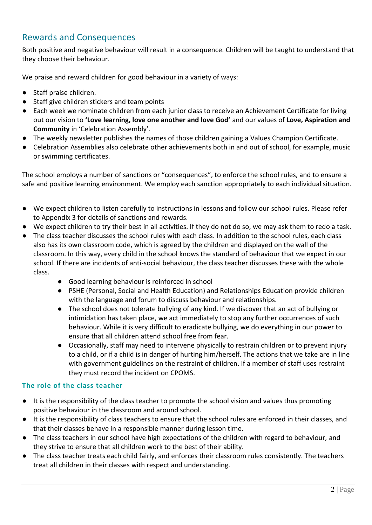## Rewards and Consequences

Both positive and negative behaviour will result in a consequence. Children will be taught to understand that they choose their behaviour.

We praise and reward children for good behaviour in a variety of ways:

- Staff praise children.
- Staff give children stickers and team points
- Each week we nominate children from each junior class to receive an Achievement Certificate for living out our vision to **'Love learning, love one another and love God'** and our values of **Love, Aspiration and Community** in 'Celebration Assembly'.
- The weekly newsletter publishes the names of those children gaining a Values Champion Certificate.
- Celebration Assemblies also celebrate other achievements both in and out of school, for example, music or swimming certificates.

The school employs a number of sanctions or "consequences", to enforce the school rules, and to ensure a safe and positive learning environment. We employ each sanction appropriately to each individual situation.

- We expect children to listen carefully to instructions in lessons and follow our school rules. Please refer to Appendix 3 for details of sanctions and rewards.
- We expect children to try their best in all activities. If they do not do so, we may ask them to redo a task.
- The class teacher discusses the school rules with each class. In addition to the school rules, each class also has its own classroom code, which is agreed by the children and displayed on the wall of the classroom. In this way, every child in the school knows the standard of behaviour that we expect in our school. If there are incidents of anti-social behaviour, the class teacher discusses these with the whole class.
	- Good learning behaviour is reinforced in school
	- PSHE (Personal, Social and Health Education) and Relationships Education provide children with the language and forum to discuss behaviour and relationships.
	- The school does not tolerate bullying of any kind. If we discover that an act of bullying or intimidation has taken place, we act immediately to stop any further occurrences of such behaviour. While it is very difficult to eradicate bullying, we do everything in our power to ensure that all children attend school free from fear.
	- Occasionally, staff may need to intervene physically to restrain children or to prevent injury to a child, or if a child is in danger of hurting him/herself. The actions that we take are in line with government guidelines on the restraint of children. If a member of staff uses restraint they must record the incident on CPOMS.

#### **The role of the class teacher**

- It is the responsibility of the class teacher to promote the school vision and values thus promoting positive behaviour in the classroom and around school.
- It is the responsibility of class teachers to ensure that the school rules are enforced in their classes, and that their classes behave in a responsible manner during lesson time.
- The class teachers in our school have high expectations of the children with regard to behaviour, and they strive to ensure that all children work to the best of their ability.
- The class teacher treats each child fairly, and enforces their classroom rules consistently. The teachers treat all children in their classes with respect and understanding.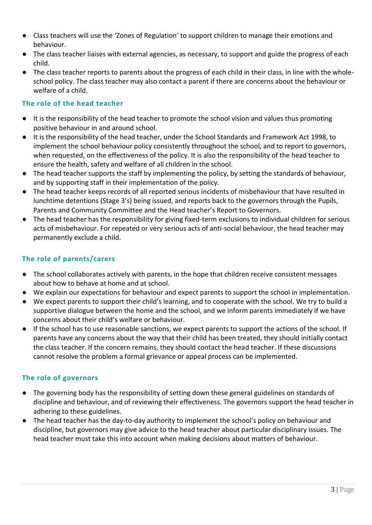- Class teachers will use the 'Zones of Regulation' to support children to manage their emotions and behaviour.
- The class teacher liaises with external agencies, as necessary, to support and guide the progress of each child.
- The class teacher reports to parents about the progress of each child in their class, in line with the wholeschool policy. The class teacher may also contact a parent if there are concerns about the behaviour or welfare of a child.

#### **The role of the head teacher**

- It is the responsibility of the head teacher to promote the school vision and values thus promoting positive behaviour in and around school.
- It is the responsibility of the head teacher, under the School Standards and Framework Act 1998, to implement the school behaviour policy consistently throughout the school, and to report to governors, when requested, on the effectiveness of the policy. It is also the responsibility of the head teacher to ensure the health, safety and welfare of all children in the school.
- The head teacher supports the staff by implementing the policy, by setting the standards of behaviour, and by supporting staff in their implementation of the policy.
- The head teacher keeps records of all reported serious incidents of misbehaviour that have resulted in lunchtime detentions (Stage 3's) being issued, and reports back to the governors through the Pupils, Parents and Community Committee and the Head teacher's Report to Governors.
- The head teacher has the responsibility for giving fixed-term exclusions to individual children for serious acts of misbehaviour. For repeated or very serious acts of anti-social behaviour, the head teacher may permanently exclude a child.

#### **The role of parents/carers**

- The school collaborates actively with parents, in the hope that children receive consistent messages about how to behave at home and at school.
- We explain our expectations for behaviour and expect parents to support the school in implementation.
- We expect parents to support their child's learning, and to cooperate with the school. We try to build a supportive dialogue between the home and the school, and we inform parents immediately if we have concerns about their child's welfare or behaviour.
- If the school has to use reasonable sanctions, we expect parents to support the actions of the school. If parents have any concerns about the way that their child has been treated, they should initially contact the class teacher. If the concern remains, they should contact the head teacher. If these discussions cannot resolve the problem a formal grievance or appeal process can be implemented.

#### **The role of governors**

- The governing body has the responsibility of setting down these general guidelines on standards of discipline and behaviour, and of reviewing their effectiveness. The governors support the head teacher in adhering to these guidelines.
- The head teacher has the day-to-day authority to implement the school's policy on behaviour and discipline, but governors may give advice to the head teacher about particular disciplinary issues. The head teacher must take this into account when making decisions about matters of behaviour.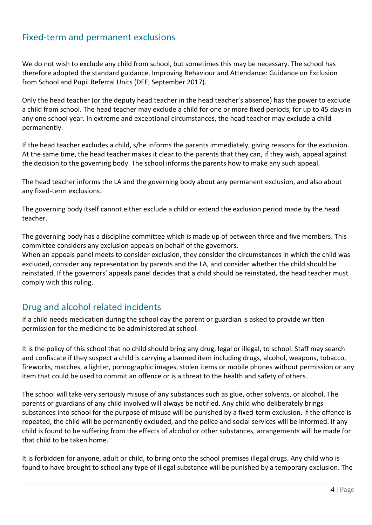### Fixed-term and permanent exclusions

We do not wish to exclude any child from school, but sometimes this may be necessary. The school has therefore adopted the standard guidance, Improving Behaviour and Attendance: Guidance on Exclusion from School and Pupil Referral Units (DFE, September 2017).

Only the head teacher (or the deputy head teacher in the head teacher's absence) has the power to exclude a child from school. The head teacher may exclude a child for one or more fixed periods, for up to 45 days in any one school year. In extreme and exceptional circumstances, the head teacher may exclude a child permanently.

If the head teacher excludes a child, s/he informs the parents immediately, giving reasons for the exclusion. At the same time, the head teacher makes it clear to the parents that they can, if they wish, appeal against the decision to the governing body. The school informs the parents how to make any such appeal.

The head teacher informs the LA and the governing body about any permanent exclusion, and also about any fixed-term exclusions.

The governing body itself cannot either exclude a child or extend the exclusion period made by the head teacher.

The governing body has a discipline committee which is made up of between three and five members. This committee considers any exclusion appeals on behalf of the governors.

When an appeals panel meets to consider exclusion, they consider the circumstances in which the child was excluded, consider any representation by parents and the LA, and consider whether the child should be reinstated. If the governors' appeals panel decides that a child should be reinstated, the head teacher must comply with this ruling.

### Drug and alcohol related incidents

If a child needs medication during the school day the parent or guardian is asked to provide written permission for the medicine to be administered at school.

It is the policy of this school that no child should bring any drug, legal or illegal, to school. Staff may search and confiscate if they suspect a child is carrying a banned item including drugs, alcohol, weapons, tobacco, fireworks, matches, a lighter, pornographic images, stolen items or mobile phones without permission or any item that could be used to commit an offence or is a threat to the health and safety of others.

The school will take very seriously misuse of any substances such as glue, other solvents, or alcohol. The parents or guardians of any child involved will always be notified. Any child who deliberately brings substances into school for the purpose of misuse will be punished by a fixed-term exclusion. If the offence is repeated, the child will be permanently excluded, and the police and social services will be informed. If any child is found to be suffering from the effects of alcohol or other substances, arrangements will be made for that child to be taken home.

It is forbidden for anyone, adult or child, to bring onto the school premises illegal drugs. Any child who is found to have brought to school any type of illegal substance will be punished by a temporary exclusion. The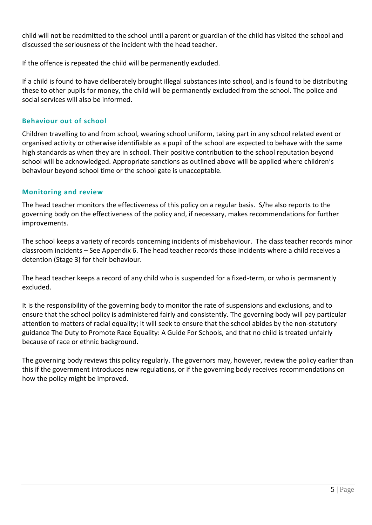child will not be readmitted to the school until a parent or guardian of the child has visited the school and discussed the seriousness of the incident with the head teacher.

If the offence is repeated the child will be permanently excluded.

If a child is found to have deliberately brought illegal substances into school, and is found to be distributing these to other pupils for money, the child will be permanently excluded from the school. The police and social services will also be informed.

#### **Behaviour out of school**

Children travelling to and from school, wearing school uniform, taking part in any school related event or organised activity or otherwise identifiable as a pupil of the school are expected to behave with the same high standards as when they are in school. Their positive contribution to the school reputation beyond school will be acknowledged. Appropriate sanctions as outlined above will be applied where children's behaviour beyond school time or the school gate is unacceptable.

#### **Monitoring and review**

The head teacher monitors the effectiveness of this policy on a regular basis. S/he also reports to the governing body on the effectiveness of the policy and, if necessary, makes recommendations for further improvements.

The school keeps a variety of records concerning incidents of misbehaviour. The class teacher records minor classroom incidents – See Appendix 6. The head teacher records those incidents where a child receives a detention (Stage 3) for their behaviour.

The head teacher keeps a record of any child who is suspended for a fixed-term, or who is permanently excluded.

It is the responsibility of the governing body to monitor the rate of suspensions and exclusions, and to ensure that the school policy is administered fairly and consistently. The governing body will pay particular attention to matters of racial equality; it will seek to ensure that the school abides by the non-statutory guidance The Duty to Promote Race Equality: A Guide For Schools, and that no child is treated unfairly because of race or ethnic background.

The governing body reviews this policy regularly. The governors may, however, review the policy earlier than this if the government introduces new regulations, or if the governing body receives recommendations on how the policy might be improved.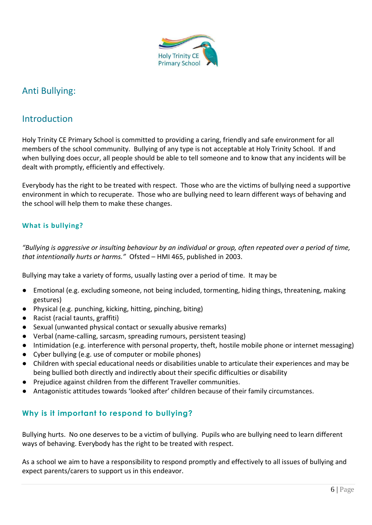

### Anti Bullying:

### **Introduction**

Holy Trinity CE Primary School is committed to providing a caring, friendly and safe environment for all members of the school community. Bullying of any type is not acceptable at Holy Trinity School. If and when bullying does occur, all people should be able to tell someone and to know that any incidents will be dealt with promptly, efficiently and effectively.

Everybody has the right to be treated with respect. Those who are the victims of bullying need a supportive environment in which to recuperate. Those who are bullying need to learn different ways of behaving and the school will help them to make these changes.

#### **What is bullying?**

*"Bullying is aggressive or insulting behaviour by an individual or group, often repeated over a period of time, that intentionally hurts or harms."* Ofsted – HMI 465, published in 2003.

Bullying may take a variety of forms, usually lasting over a period of time. It may be

- Emotional (e.g. excluding someone, not being included, tormenting, hiding things, threatening, making gestures)
- Physical (e.g. punching, kicking, hitting, pinching, biting)
- Racist (racial taunts, graffiti)
- Sexual (unwanted physical contact or sexually abusive remarks)
- Verbal (name-calling, sarcasm, spreading rumours, persistent teasing)
- Intimidation (e.g. interference with personal property, theft, hostile mobile phone or internet messaging)
- Cyber bullying (e.g. use of computer or mobile phones)
- Children with special educational needs or disabilities unable to articulate their experiences and may be being bullied both directly and indirectly about their specific difficulties or disability
- Prejudice against children from the different Traveller communities.
- Antagonistic attitudes towards 'looked after' children because of their family circumstances.

### **Why is it important to respond to bullying?**

Bullying hurts. No one deserves to be a victim of bullying. Pupils who are bullying need to learn different ways of behaving. Everybody has the right to be treated with respect.

As a school we aim to have a responsibility to respond promptly and effectively to all issues of bullying and expect parents/carers to support us in this endeavor.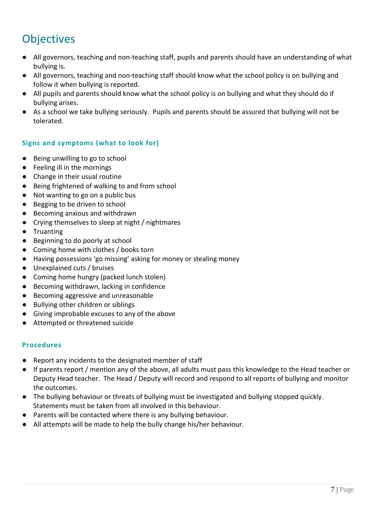## **Objectives**

- All governors, teaching and non-teaching staff, pupils and parents should have an understanding of what bullying is.
- All governors, teaching and non-teaching staff should know what the school policy is on bullying and follow it when bullying is reported.
- All pupils and parents should know what the school policy is on bullying and what they should do if bullying arises.
- As a school we take bullying seriously. Pupils and parents should be assured that bullying will not be tolerated.

#### **Signs and symptoms (what to look for)**

- Being unwilling to go to school
- Feeling ill in the mornings
- Change in their usual routine
- Being frightened of walking to and from school
- Not wanting to go on a public bus
- Begging to be driven to school
- Becoming anxious and withdrawn
- Crying themselves to sleep at night / nightmares
- Truanting
- Beginning to do poorly at school
- Coming home with clothes / books torn
- Having possessions 'go missing' asking for money or stealing money
- Unexplained cuts / bruises
- Coming home hungry (packed lunch stolen)
- Becoming withdrawn, lacking in confidence
- Becoming aggressive and unreasonable
- Bullying other children or siblings
- Giving improbable excuses to any of the above
- Attempted or threatened suicide

#### **Procedures**

- Report any incidents to the designated member of staff
- If parents report / mention any of the above, all adults must pass this knowledge to the Head teacher or Deputy Head teacher. The Head / Deputy will record and respond to all reports of bullying and monitor the outcomes.
- The bullying behaviour or threats of bullying must be investigated and bullying stopped quickly. Statements must be taken from all involved in this behaviour.
- Parents will be contacted where there is any bullying behaviour.
- All attempts will be made to help the bully change his/her behaviour.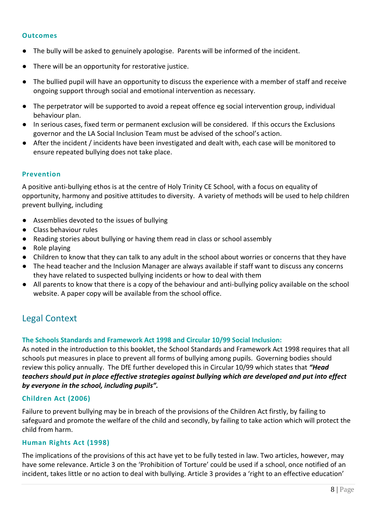#### **Outcomes**

- The bully will be asked to genuinely apologise. Parents will be informed of the incident.
- There will be an opportunity for restorative justice.
- The bullied pupil will have an opportunity to discuss the experience with a member of staff and receive ongoing support through social and emotional intervention as necessary.
- The perpetrator will be supported to avoid a repeat offence eg social intervention group, individual behaviour plan.
- In serious cases, fixed term or permanent exclusion will be considered. If this occurs the Exclusions governor and the LA Social Inclusion Team must be advised of the school's action.
- After the incident / incidents have been investigated and dealt with, each case will be monitored to ensure repeated bullying does not take place.

#### **Prevention**

A positive anti-bullying ethos is at the centre of Holy Trinity CE School, with a focus on equality of opportunity, harmony and positive attitudes to diversity. A variety of methods will be used to help children prevent bullying, including

- Assemblies devoted to the issues of bullying
- Class behaviour rules
- Reading stories about bullying or having them read in class or school assembly
- Role playing
- Children to know that they can talk to any adult in the school about worries or concerns that they have
- The head teacher and the Inclusion Manager are always available if staff want to discuss any concerns they have related to suspected bullying incidents or how to deal with them
- All parents to know that there is a copy of the behaviour and anti-bullying policy available on the school website. A paper copy will be available from the school office.

### Legal Context

#### **The Schools Standards and Framework Act 1998 and Circular 10/99 Social Inclusion:**

As noted in the introduction to this booklet, the School Standards and Framework Act 1998 requires that all schools put measures in place to prevent all forms of bullying among pupils. Governing bodies should review this policy annually. The DfE further developed this in Circular 10/99 which states that *"Head teachers should put in place effective strategies against bullying which are developed and put into effect by everyone in the school, including pupils".*

#### **Children Act (2006)**

Failure to prevent bullying may be in breach of the provisions of the Children Act firstly, by failing to safeguard and promote the welfare of the child and secondly, by failing to take action which will protect the child from harm.

#### **Human Rights Act (1998)**

The implications of the provisions of this act have yet to be fully tested in law. Two articles, however, may have some relevance. Article 3 on the 'Prohibition of Torture' could be used if a school, once notified of an incident, takes little or no action to deal with bullying. Article 3 provides a 'right to an effective education'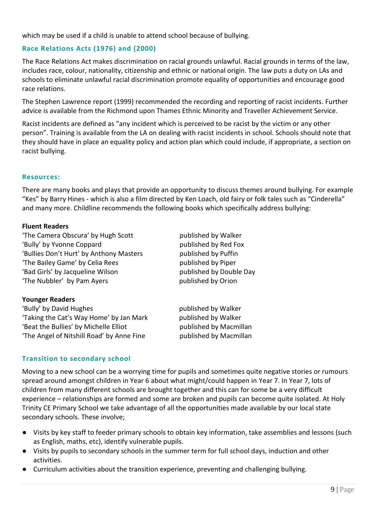which may be used if a child is unable to attend school because of bullying.

#### **Race Relations Acts (1976) and (2000)**

The Race Relations Act makes discrimination on racial grounds unlawful. Racial grounds in terms of the law, includes race, colour, nationality, citizenship and ethnic or national origin. The law puts a duty on LAs and schools to eliminate unlawful racial discrimination promote equality of opportunities and encourage good race relations.

The Stephen Lawrence report (1999) recommended the recording and reporting of racist incidents. Further advice is available from the Richmond upon Thames Ethnic Minority and Traveller Achievement Service.

Racist incidents are defined as "any incident which is perceived to be racist by the victim or any other person". Training is available from the LA on dealing with racist incidents in school. Schools should note that they should have in place an equality policy and action plan which could include, if appropriate, a section on racist bullying.

#### **Resources:**

There are many books and plays that provide an opportunity to discuss themes around bullying. For example "Kes" by Barry Hines - which is also a film directed by Ken Loach, old fairy or folk tales such as "Cinderella" and many more. Childline recommends the following books which specifically address bullying:

#### **Fluent Readers**

'The Camera Obscura' by Hugh Scott published by Walker 'Bully' by Yvonne Coppard published by Red Fox 'Bullies Don't Hurt' by Anthony Masters published by Puffin 'The Bailey Game' by Celia Rees published by Piper 'Bad Girls' by Jacqueline Wilson published by Double Day 'The Nubbler' by Pam Ayers example and published by Orion

#### **Younger Readers**

'Bully' by David Hughes **published by Walker** 'Taking the Cat's Way Home' by Jan Mark published by Walker 'Beat the Bullies' by Michelle Elliot **published by Macmillan** 'The Angel of Nitshill Road' by Anne Fine published by Macmillan

#### **Transition to secondary school**

Moving to a new school can be a worrying time for pupils and sometimes quite negative stories or rumours spread around amongst children in Year 6 about what might/could happen in Year 7. In Year 7, lots of children from many different schools are brought together and this can for some be a very difficult experience – relationships are formed and some are broken and pupils can become quite isolated. At Holy Trinity CE Primary School we take advantage of all the opportunities made available by our local state secondary schools. These involve;

- Visits by key staff to feeder primary schools to obtain key information, take assemblies and lessons (such as English, maths, etc), identify vulnerable pupils.
- Visits by pupils to secondary schools in the summer term for full school days, induction and other activities.
- Curriculum activities about the transition experience, preventing and challenging bullying.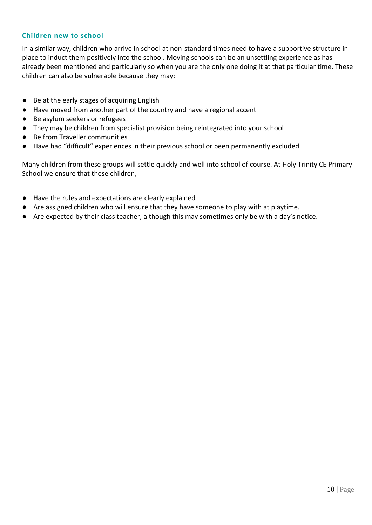#### **Children new to school**

In a similar way, children who arrive in school at non-standard times need to have a supportive structure in place to induct them positively into the school. Moving schools can be an unsettling experience as has already been mentioned and particularly so when you are the only one doing it at that particular time. These children can also be vulnerable because they may:

- Be at the early stages of acquiring English
- Have moved from another part of the country and have a regional accent
- Be asylum seekers or refugees
- They may be children from specialist provision being reintegrated into your school
- Be from Traveller communities
- Have had "difficult" experiences in their previous school or been permanently excluded

Many children from these groups will settle quickly and well into school of course. At Holy Trinity CE Primary School we ensure that these children,

- Have the rules and expectations are clearly explained
- Are assigned children who will ensure that they have someone to play with at playtime.
- Are expected by their class teacher, although this may sometimes only be with a day's notice.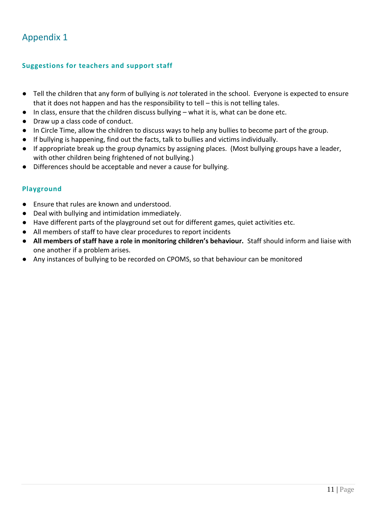## Appendix 1

#### **Suggestions for teachers and support staff**

- Tell the children that any form of bullying is *not* tolerated in the school. Everyone is expected to ensure that it does not happen and has the responsibility to tell – this is not telling tales.
- In class, ensure that the children discuss bullying what it is, what can be done etc.
- Draw up a class code of conduct.
- In Circle Time, allow the children to discuss ways to help any bullies to become part of the group.
- If bullying is happening, find out the facts, talk to bullies and victims individually.
- If appropriate break up the group dynamics by assigning places. (Most bullying groups have a leader, with other children being frightened of not bullying.)
- Differences should be acceptable and never a cause for bullying.

#### **Playground**

- Ensure that rules are known and understood.
- Deal with bullying and intimidation immediately.
- Have different parts of the playground set out for different games, quiet activities etc.
- All members of staff to have clear procedures to report incidents
- **All members of staff have a role in monitoring children's behaviour.** Staff should inform and liaise with one another if a problem arises.
- Any instances of bullying to be recorded on CPOMS, so that behaviour can be monitored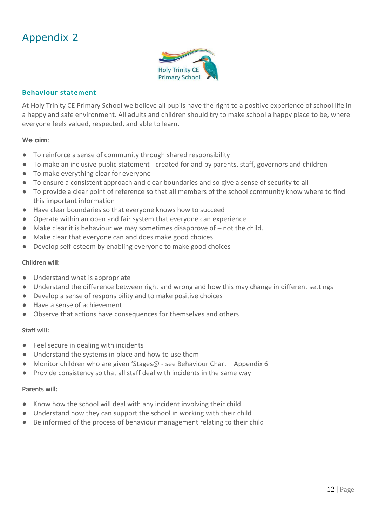## Appendix 2



#### **Behaviour statement**

At Holy Trinity CE Primary School we believe all pupils have the right to a positive experience of school life in a happy and safe environment. All adults and children should try to make school a happy place to be, where everyone feels valued, respected, and able to learn.

#### **We aim:**

- To reinforce a sense of community through shared responsibility
- To make an inclusive public statement created for and by parents, staff, governors and children
- To make everything clear for everyone
- To ensure a consistent approach and clear boundaries and so give a sense of security to all
- To provide a clear point of reference so that all members of the school community know where to find this important information
- Have clear boundaries so that everyone knows how to succeed
- Operate within an open and fair system that everyone can experience
- Make clear it is behaviour we may sometimes disapprove of not the child.
- Make clear that everyone can and does make good choices
- Develop self-esteem by enabling everyone to make good choices

#### **Children will:**

- Understand what is appropriate
- Understand the difference between right and wrong and how this may change in different settings
- Develop a sense of responsibility and to make positive choices
- Have a sense of achievement
- Observe that actions have consequences for themselves and others

#### **Staff will:**

- Feel secure in dealing with incidents
- Understand the systems in place and how to use them
- Monitor children who are given 'Stages@ see Behaviour Chart Appendix 6
- Provide consistency so that all staff deal with incidents in the same way

#### **Parents will:**

- Know how the school will deal with any incident involving their child
- Understand how they can support the school in working with their child
- Be informed of the process of behaviour management relating to their child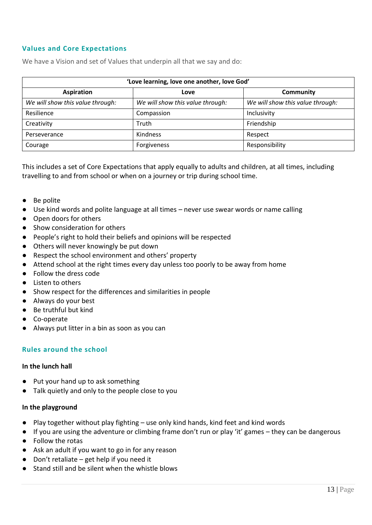#### **Values and Core Expectations**

We have a Vision and set of Values that underpin all that we say and do:

| 'Love learning, love one another, love God' |                                  |                                  |  |  |
|---------------------------------------------|----------------------------------|----------------------------------|--|--|
| <b>Aspiration</b>                           | Love                             | Community                        |  |  |
| We will show this value through:            | We will show this value through: | We will show this value through: |  |  |
| Resilience                                  | Compassion                       | Inclusivity                      |  |  |
| Creativity                                  | Truth                            | Friendship                       |  |  |
| Perseverance                                | <b>Kindness</b>                  | Respect                          |  |  |
| Courage                                     | Forgiveness                      | Responsibility                   |  |  |

This includes a set of Core Expectations that apply equally to adults and children, at all times, including travelling to and from school or when on a journey or trip during school time.

- Be polite
- Use kind words and polite language at all times never use swear words or name calling
- Open doors for others
- Show consideration for others
- People's right to hold their beliefs and opinions will be respected
- Others will never knowingly be put down
- Respect the school environment and others' property
- Attend school at the right times every day unless too poorly to be away from home
- Follow the dress code
- Listen to others
- Show respect for the differences and similarities in people
- Always do your best
- Be truthful but kind
- Co-operate
- Always put litter in a bin as soon as you can

#### **Rules around the school**

#### **In the lunch hall**

- Put your hand up to ask something
- Talk quietly and only to the people close to you

#### **In the playground**

- Play together without play fighting use only kind hands, kind feet and kind words
- If you are using the adventure or climbing frame don't run or play 'it' games they can be dangerous
- Follow the rotas
- Ask an adult if you want to go in for any reason
- Don't retaliate get help if you need it
- Stand still and be silent when the whistle blows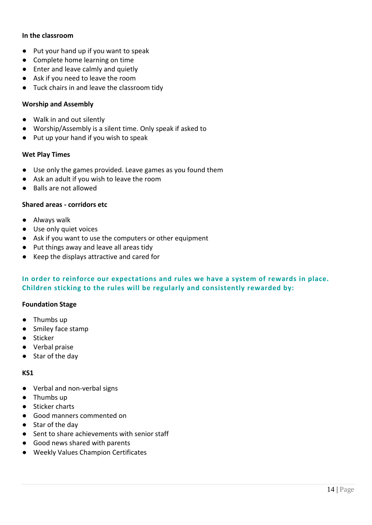#### **In the classroom**

- Put your hand up if you want to speak
- Complete home learning on time
- Enter and leave calmly and quietly
- Ask if you need to leave the room
- Tuck chairs in and leave the classroom tidy

#### **Worship and Assembly**

- Walk in and out silently
- Worship/Assembly is a silent time. Only speak if asked to
- Put up your hand if you wish to speak

#### **Wet Play Times**

- Use only the games provided. Leave games as you found them
- Ask an adult if you wish to leave the room
- Balls are not allowed

#### **Shared areas - corridors etc**

- Always walk
- Use only quiet voices
- Ask if you want to use the computers or other equipment
- Put things away and leave all areas tidy
- Keep the displays attractive and cared for

#### **In order to reinforce our expectations and rules we have a system of rewards in place. Children sticking to the rules will be regularly and consistently rewarded by:**

#### **Foundation Stage**

- Thumbs up
- Smiley face stamp
- Sticker
- Verbal praise
- Star of the day

#### **KS1**

- Verbal and non-verbal signs
- Thumbs up
- Sticker charts
- Good manners commented on
- Star of the day
- Sent to share achievements with senior staff
- Good news shared with parents
- Weekly Values Champion Certificates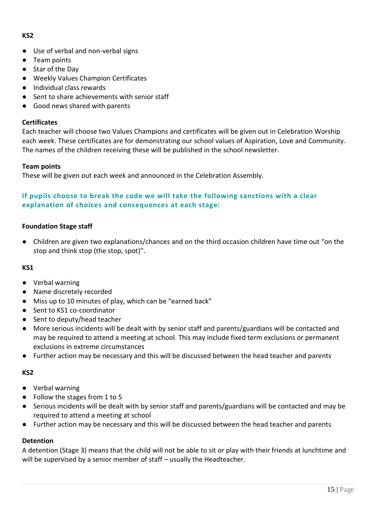#### **KS2**

- Use of verbal and non-verbal signs
- Team points
- Star of the Dav
- Weekly Values Champion Certificates
- Individual class rewards
- Sent to share achievements with senior staff
- Good news shared with parents

#### **Certificates**

Each teacher will choose two Values Champions and certificates will be given out in Celebration Worship each week. These certificates are for demonstrating our school values of Aspiration, Love and Community. The names of the children receiving these will be published in the school newsletter.

#### **Team points**

These will be given out each week and announced in the Celebration Assembly.

#### **If pupils choose to break the code we will take the following sanctions with a clear explanation of choices and consequences at each stage:**

#### **Foundation Stage staff**

● Children are given two explanations/chances and on the third occasion children have time out "on the stop and think stop (the stop, spot)".

#### **KS1**

- Verbal warning
- Name discretely recorded
- Miss up to 10 minutes of play, which can be "earned back"
- Sent to KS1 co-coordinator
- Sent to deputy/head teacher
- More serious incidents will be dealt with by senior staff and parents/guardians will be contacted and may be required to attend a meeting at school. This may include fixed term exclusions or permanent exclusions in extreme circumstances
- Further action may be necessary and this will be discussed between the head teacher and parents

#### **KS2**

- Verbal warning
- Follow the stages from 1 to 5
- Serious incidents will be dealt with by senior staff and parents/guardians will be contacted and may be required to attend a meeting at school
- Further action may be necessary and this will be discussed between the head teacher and parents

#### **Detention**

A detention (Stage 3) means that the child will not be able to sit or play with their friends at lunchtime and will be supervised by a senior member of staff – usually the Headteacher.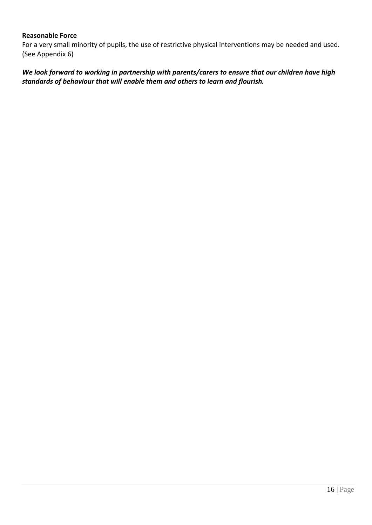#### **Reasonable Force**

For a very small minority of pupils, the use of restrictive physical interventions may be needed and used. (See Appendix 6)

*We look forward to working in partnership with parents/carers to ensure that our children have high standards of behaviour that will enable them and others to learn and flourish.*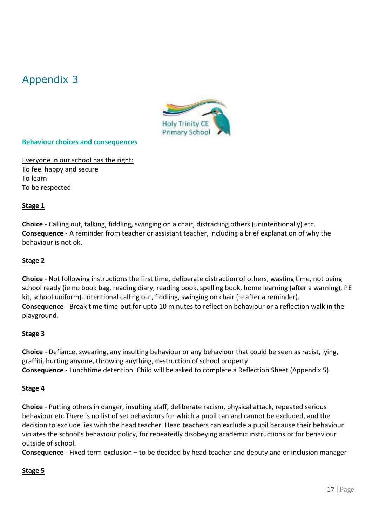## Appendix 3



#### **Behaviour choices and consequences**

Everyone in our school has the right: To feel happy and secure To learn To be respected

#### **Stage 1**

**Choice** - Calling out, talking, fiddling, swinging on a chair, distracting others (unintentionally) etc. **Consequence** - A reminder from teacher or assistant teacher, including a brief explanation of why the behaviour is not ok.

#### **Stage 2**

**Choice** - Not following instructions the first time, deliberate distraction of others, wasting time, not being school ready (ie no book bag, reading diary, reading book, spelling book, home learning (after a warning), PE kit, school uniform). Intentional calling out, fiddling, swinging on chair (ie after a reminder). **Consequence** - Break time time-out for upto 10 minutes to reflect on behaviour or a reflection walk in the playground.

#### **Stage 3**

**Choice** - Defiance, swearing, any insulting behaviour or any behaviour that could be seen as racist, lying, graffiti, hurting anyone, throwing anything, destruction of school property **Consequence** - Lunchtime detention. Child will be asked to complete a Reflection Sheet (Appendix 5)

#### **Stage 4**

**Choice** - Putting others in danger, insulting staff, deliberate racism, physical attack, repeated serious behaviour etc There is no list of set behaviours for which a pupil can and cannot be excluded, and the decision to exclude lies with the head teacher. Head teachers can exclude a pupil because their behaviour violates the school's behaviour policy, for repeatedly disobeying academic instructions or for behaviour outside of school.

**Consequence** - Fixed term exclusion – to be decided by head teacher and deputy and or inclusion manager

#### **Stage 5**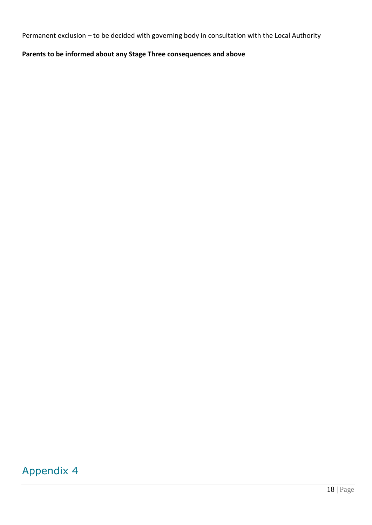Permanent exclusion – to be decided with governing body in consultation with the Local Authority

### **Parents to be informed about any Stage Three consequences and above**

## Appendix 4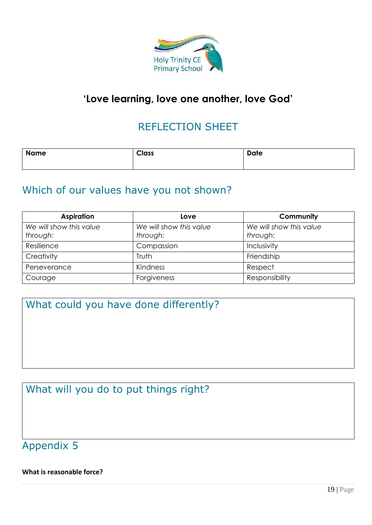

## **'Love learning, love one another, love God'**

## REFLECTION SHEET

| <b>Name</b> | <b>Class</b> | <b>Date</b> |
|-------------|--------------|-------------|
|             |              |             |

## Which of our values have you not shown?

| <b>Aspiration</b>                   | Love                                | Community                           |
|-------------------------------------|-------------------------------------|-------------------------------------|
| We will show this value<br>through: | We will show this value<br>through: | We will show this value<br>through: |
| Resilience                          | Compassion                          | Inclusivity                         |
| Creativity                          | Truth                               | Friendship                          |
| Perseverance                        | Kindness                            | Respect                             |
| Courage                             | Forgiveness                         | Responsibility                      |

What could you have done differently?

What will you do to put things right?

Appendix 5

**What is reasonable force?**